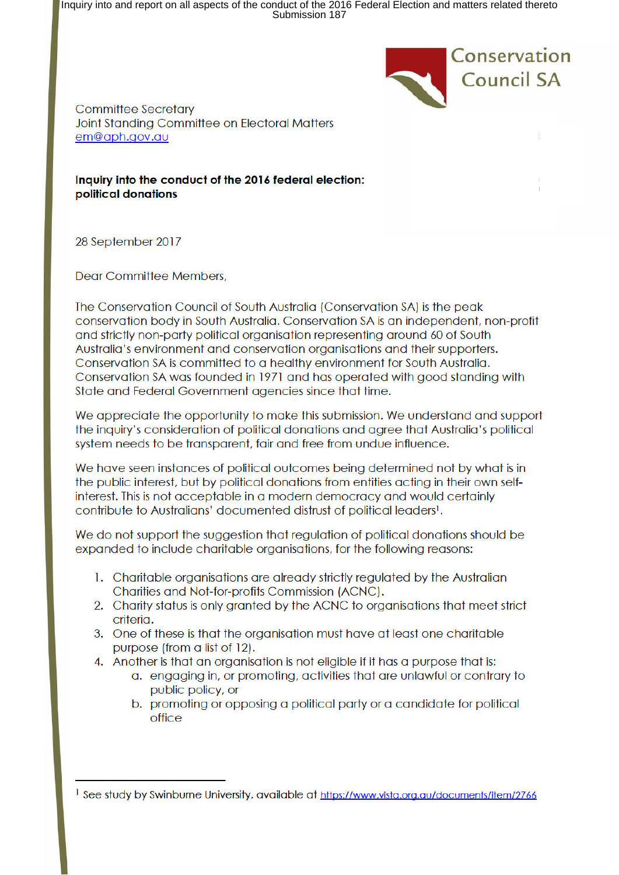Inquiry into and report on all aspects of the conduct of the 2016 Federal Election and matters related thereto Submission 187



**Committee Secretary** Joint Standing Committee on Electoral Matters em@aph.aov.au

Inquiry into the conduct of the 2016 federal election: political donations

28 September 2017

Dear Committee Members,

The Conservation Council of South Australia (Conservation SA) is the peak conservation body in South Australia. Conservation SA is an independent, non-profit and strictly non-party political organisation representing around 60 of South Australia's environment and conservation organisations and their supporters. Conservation SA is committed to a healthy environment for South Australia. Conservation SA was founded in 1971 and has operated with good standing with State and Federal Government agencies since that time.

We appreciate the opportunity to make this submission. We understand and support the inquiry's consideration of political donations and agree that Australia's political system needs to be transparent, fair and free from undue influence.

We have seen instances of political outcomes being determined not by what is in the public interest, but by political donations from entities acting in their own selfinterest. This is not acceptable in a modern democracy and would certainly contribute to Australians' documented distrust of political leaders<sup>1</sup>.

We do not support the suggestion that regulation of political donations should be expanded to include charitable organisations, for the following reasons:

- 1. Charitable organisations are already strictly reaulated by the Australian Charities and Not-for-profits Commission (ACNC).
- 2. Charity status is only granted by the ACNC to organisations that meet strict criteria.
- 3. One of these is that the organisation must have at least one charitable purpose (from a list of 12).
- 4. Another is that an organisation is not eligible if it has a purpose that is:
	- a. engaging in, or promoting, activities that are unlawful or contrary to public policy, or
	- b. promoting or opposing a political party or a candidate for political office

<sup>&</sup>lt;sup>1</sup> See study by Swinburne University, available at https://www.vista.org.au/documents/item/2766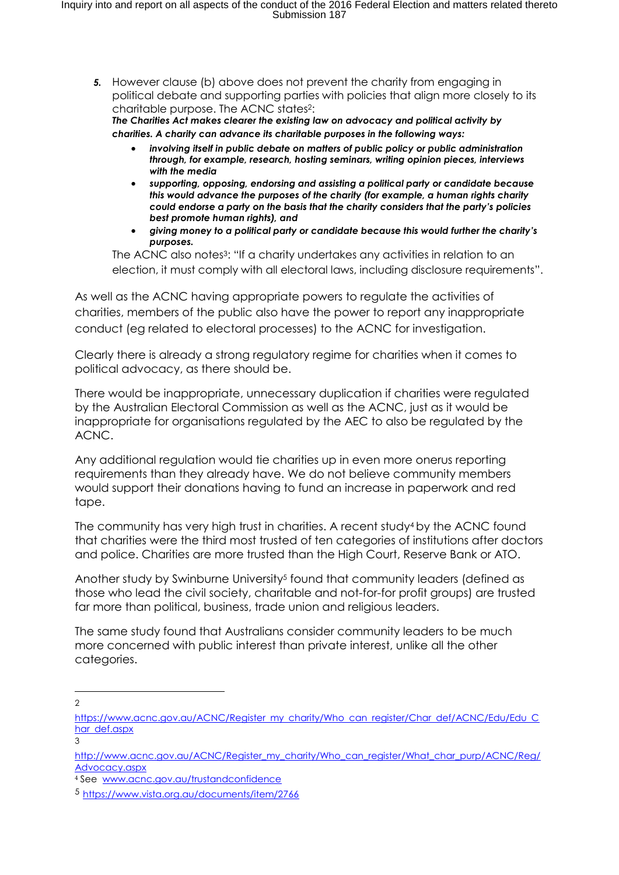*5.* However clause (b) above does not prevent the charity from engaging in political debate and supporting parties with policies that align more closely to its charitable purpose. The ACNC states2:

*The Charities Act makes clearer the existing law on advocacy and political activity by charities. A charity can advance its charitable purposes in the following ways:* 

- *involving itself in public debate on matters of public policy or public administration through, for example, research, hosting seminars, writing opinion pieces, interviews with the media*
- *supporting, opposing, endorsing and assisting a political party or candidate because this would advance the purposes of the charity (for example, a human rights charity could endorse a party on the basis that the charity considers that the party's policies best promote human rights), and*
- *giving money to a political party or candidate because this would further the charity's purposes.*

The ACNC also notes3: "If a charity undertakes any activities in relation to an election, it must comply with all electoral laws, including disclosure requirements".

As well as the ACNC having appropriate powers to regulate the activities of charities, members of the public also have the power to report any inappropriate conduct (eg related to electoral processes) to the ACNC for investigation.

Clearly there is already a strong regulatory regime for charities when it comes to political advocacy, as there should be.

There would be inappropriate, unnecessary duplication if charities were regulated by the Australian Electoral Commission as well as the ACNC, just as it would be inappropriate for organisations regulated by the AEC to also be regulated by the ACNC.

Any additional regulation would tie charities up in even more onerus reporting requirements than they already have. We do not believe community members would support their donations having to fund an increase in paperwork and red tape.

The community has very high trust in charities. A recent study<sup>4</sup> by the ACNC found that charities were the third most trusted of ten categories of institutions after doctors and police. Charities are more trusted than the High Court, Reserve Bank or ATO.

Another study by Swinburne University<sup>5</sup> found that community leaders (defined as those who lead the civil society, charitable and not-for-for profit groups) are trusted far more than political, business, trade union and religious leaders.

The same study found that Australians consider community leaders to be much more concerned with public interest than private interest, unlike all the other categories.

 $\overline{a}$  $\mathfrak{D}$ 

3

https://www.acnc.gov.au/ACNC/Register my charity/Who can register/Char def/ACNC/Edu/Edu C har def.aspx

http://www.acnc.gov.au/ACNC/Register\_my\_charity/Who\_can\_register/What\_char\_purp/ACNC/Reg/ Advocacy.aspx

<sup>4</sup> See www.acnc.gov.au/trustandconfidence

<sup>5</sup> https://www.vista.org.au/documents/item/2766